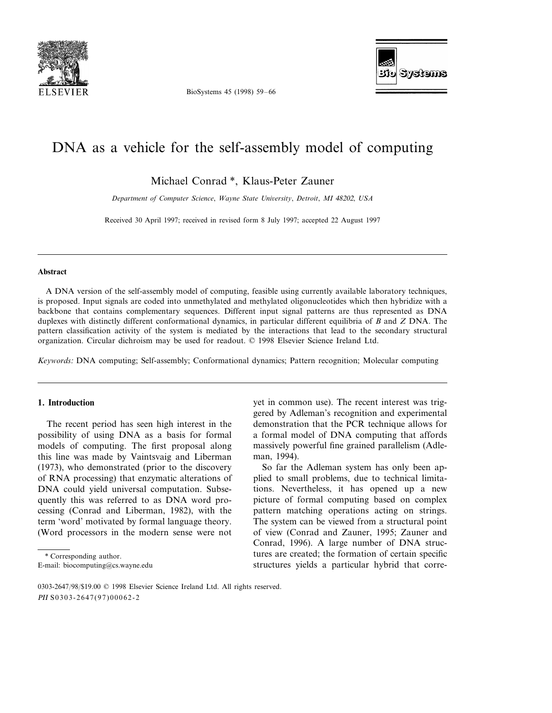

BioSystems 45 (1998) 59–66



# DNA as a vehicle for the self-assembly model of computing

Michael Conrad \*, Klaus-Peter Zauner

*Department of Computer Science*, *Wayne State Uni*6*ersity*, *Detroit*, *MI* <sup>48202</sup>, *USA*

Received 30 April 1997; received in revised form 8 July 1997; accepted 22 August 1997

#### **Abstract**

A DNA version of the self-assembly model of computing, feasible using currently available laboratory techniques, is proposed. Input signals are coded into unmethylated and methylated oligonucleotides which then hybridize with a backbone that contains complementary sequences. Different input signal patterns are thus represented as DNA duplexes with distinctly different conformational dynamics, in particular different equilibria of *B* and *Z* DNA. The pattern classification activity of the system is mediated by the interactions that lead to the secondary structural organization. Circular dichroism may be used for readout. © 1998 Elsevier Science Ireland Ltd.

*Keywords*: DNA computing; Self-assembly; Conformational dynamics; Pattern recognition; Molecular computing

## **1. Introduction**

The recent period has seen high interest in the possibility of using DNA as a basis for formal models of computing. The first proposal along this line was made by Vaintsvaig and Liberman (1973), who demonstrated (prior to the discovery of RNA processing) that enzymatic alterations of DNA could yield universal computation. Subsequently this was referred to as DNA word processing (Conrad and Liberman, 1982), with the term 'word' motivated by formal language theory. (Word processors in the modern sense were not yet in common use). The recent interest was triggered by Adleman's recognition and experimental demonstration that the PCR technique allows for a formal model of DNA computing that affords massively powerful fine grained parallelism (Adleman, 1994).

So far the Adleman system has only been applied to small problems, due to technical limitations. Nevertheless, it has opened up a new picture of formal computing based on complex pattern matching operations acting on strings. The system can be viewed from a structural point of view (Conrad and Zauner, 1995; Zauner and Conrad, 1996). A large number of DNA structures are created; the formation of certain specific structures yields a particular hybrid that corre-

<sup>\*</sup> Corresponding author.

E-mail: biocomputing@cs.wayne.edu

<sup>0303-2647</sup>/98/\$19.00 © 1998 Elsevier Science Ireland Ltd. All rights reserved. PII S0303-2647(97)00062-2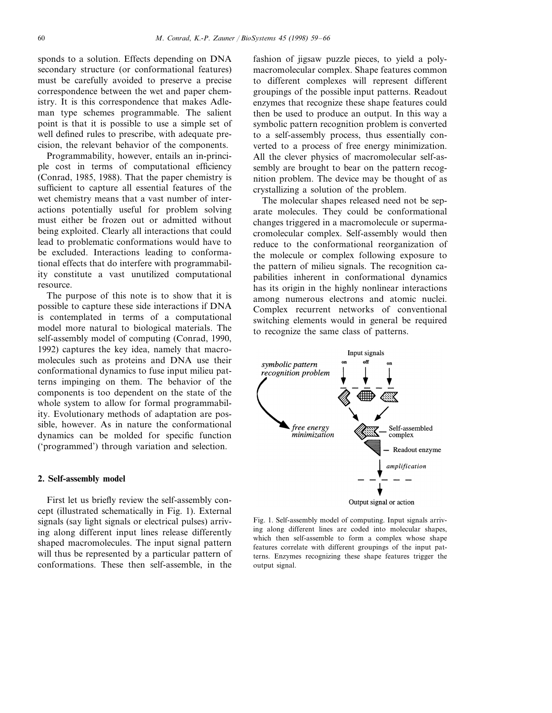sponds to a solution. Effects depending on DNA secondary structure (or conformational features) must be carefully avoided to preserve a precise correspondence between the wet and paper chemistry. It is this correspondence that makes Adleman type schemes programmable. The salient point is that it is possible to use a simple set of well defined rules to prescribe, with adequate precision, the relevant behavior of the components.

Programmability, however, entails an in-principle cost in terms of computational efficiency (Conrad, 1985, 1988). That the paper chemistry is sufficient to capture all essential features of the wet chemistry means that a vast number of interactions potentially useful for problem solving must either be frozen out or admitted without being exploited. Clearly all interactions that could lead to problematic conformations would have to be excluded. Interactions leading to conformational effects that do interfere with programmability constitute a vast unutilized computational resource.

The purpose of this note is to show that it is possible to capture these side interactions if DNA is contemplated in terms of a computational model more natural to biological materials. The self-assembly model of computing (Conrad, 1990, 1992) captures the key idea, namely that macromolecules such as proteins and DNA use their conformational dynamics to fuse input milieu patterns impinging on them. The behavior of the components is too dependent on the state of the whole system to allow for formal programmability. Evolutionary methods of adaptation are possible, however. As in nature the conformational dynamics can be molded for specific function ('programmed') through variation and selection.

### **2. Self-assembly model**

First let us briefly review the self-assembly concept (illustrated schematically in Fig. 1). External signals (say light signals or electrical pulses) arriving along different input lines release differently shaped macromolecules. The input signal pattern will thus be represented by a particular pattern of conformations. These then self-assemble, in the

fashion of jigsaw puzzle pieces, to yield a polymacromolecular complex. Shape features common to different complexes will represent different groupings of the possible input patterns. Readout enzymes that recognize these shape features could then be used to produce an output. In this way a symbolic pattern recognition problem is converted to a self-assembly process, thus essentially converted to a process of free energy minimization. All the clever physics of macromolecular self-assembly are brought to bear on the pattern recognition problem. The device may be thought of as crystallizing a solution of the problem.

The molecular shapes released need not be separate molecules. They could be conformational changes triggered in a macromolecule or supermacromolecular complex. Self-assembly would then reduce to the conformational reorganization of the molecule or complex following exposure to the pattern of milieu signals. The recognition capabilities inherent in conformational dynamics has its origin in the highly nonlinear interactions among numerous electrons and atomic nuclei. Complex recurrent networks of conventional switching elements would in general be required to recognize the same class of patterns.



Fig. 1. Self-assembly model of computing. Input signals arriving along different lines are coded into molecular shapes, which then self-assemble to form a complex whose shape features correlate with different groupings of the input patterns. Enzymes recognizing these shape features trigger the output signal.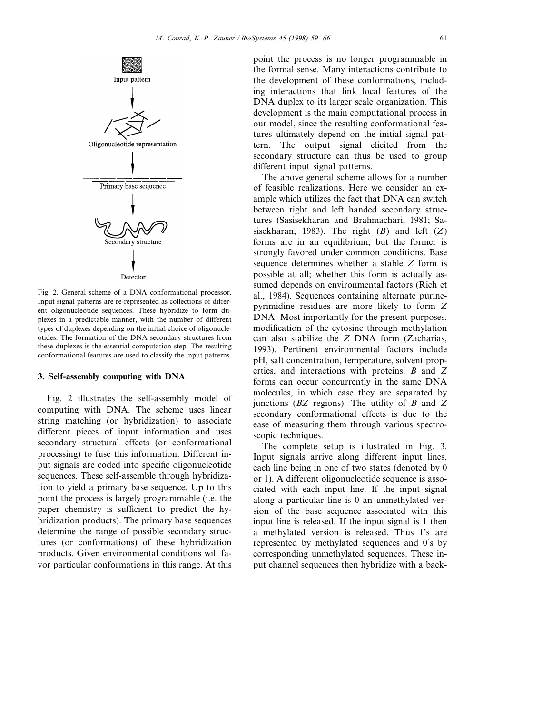

Fig. 2. General scheme of a DNA conformational processor. Input signal patterns are re-represented as collections of different oligonucleotide sequences. These hybridize to form duplexes in a predictable manner, with the number of different types of duplexes depending on the initial choice of oligonucleotides. The formation of the DNA secondary structures from these duplexes is the essential computation step. The resulting conformational features are used to classify the input patterns.

## **3. Self-assembly computing with DNA**

Fig. 2 illustrates the self-assembly model of computing with DNA. The scheme uses linear string matching (or hybridization) to associate different pieces of input information and uses secondary structural effects (or conformational processing) to fuse this information. Different input signals are coded into specific oligonucleotide sequences. These self-assemble through hybridization to yield a primary base sequence. Up to this point the process is largely programmable (i.e. the paper chemistry is sufficient to predict the hybridization products). The primary base sequences determine the range of possible secondary structures (or conformations) of these hybridization products. Given environmental conditions will favor particular conformations in this range. At this point the process is no longer programmable in the formal sense. Many interactions contribute to the development of these conformations, including interactions that link local features of the DNA duplex to its larger scale organization. This development is the main computational process in our model, since the resulting conformational features ultimately depend on the initial signal pattern. The output signal elicited from the secondary structure can thus be used to group different input signal patterns.

The above general scheme allows for a number of feasible realizations. Here we consider an example which utilizes the fact that DNA can switch between right and left handed secondary structures (Sasisekharan and Brahmachari, 1981; Sasisekharan, 1983). The right (*B*) and left (*Z*) forms are in an equilibrium, but the former is strongly favored under common conditions. Base sequence determines whether a stable *Z* form is possible at all; whether this form is actually assumed depends on environmental factors (Rich et al., 1984). Sequences containing alternate purinepyrimidine residues are more likely to form *Z* DNA. Most importantly for the present purposes, modification of the cytosine through methylation can also stabilize the *Z* DNA form (Zacharias, 1993). Pertinent environmental factors include pH, salt concentration, temperature, solvent properties, and interactions with proteins. *B* and *Z* forms can occur concurrently in the same DNA molecules, in which case they are separated by junctions (*BZ* regions). The utility of *B* and *Z* secondary conformational effects is due to the ease of measuring them through various spectroscopic techniques.

The complete setup is illustrated in Fig. 3. Input signals arrive along different input lines, each line being in one of two states (denoted by 0 or 1). A different oligonucleotide sequence is associated with each input line. If the input signal along a particular line is 0 an unmethylated version of the base sequence associated with this input line is released. If the input signal is 1 then a methylated version is released. Thus 1's are represented by methylated sequences and 0's by corresponding unmethylated sequences. These input channel sequences then hybridize with a back-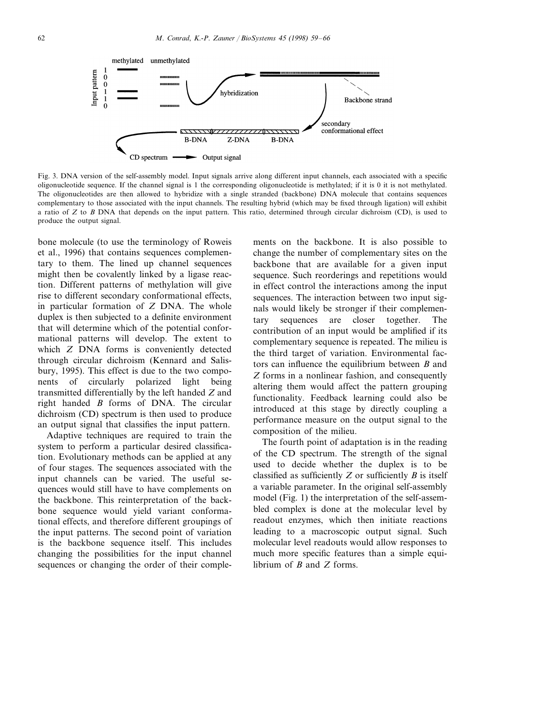

Fig. 3. DNA version of the self-assembly model. Input signals arrive along different input channels, each associated with a specific oligonucleotide sequence. If the channel signal is 1 the corresponding oligonucleotide is methylated; if it is 0 it is not methylated. The oligonucleotides are then allowed to hybridize with a single stranded (backbone) DNA molecule that contains sequences complementary to those associated with the input channels. The resulting hybrid (which may be fixed through ligation) will exhibit a ratio of *Z* to *B* DNA that depends on the input pattern. This ratio, determined through circular dichroism (CD), is used to produce the output signal.

bone molecule (to use the terminology of Roweis et al., 1996) that contains sequences complementary to them. The lined up channel sequences might then be covalently linked by a ligase reaction. Different patterns of methylation will give rise to different secondary conformational effects, in particular formation of *Z* DNA. The whole duplex is then subjected to a definite environment that will determine which of the potential conformational patterns will develop. The extent to which *Z* DNA forms is conveniently detected through circular dichroism (Kennard and Salisbury, 1995). This effect is due to the two components of circularly polarized light being transmitted differentially by the left handed *Z* and right handed *B* forms of DNA. The circular dichroism (CD) spectrum is then used to produce an output signal that classifies the input pattern.

Adaptive techniques are required to train the system to perform a particular desired classification. Evolutionary methods can be applied at any of four stages. The sequences associated with the input channels can be varied. The useful sequences would still have to have complements on the backbone. This reinterpretation of the backbone sequence would yield variant conformational effects, and therefore different groupings of the input patterns. The second point of variation is the backbone sequence itself. This includes changing the possibilities for the input channel sequences or changing the order of their complements on the backbone. It is also possible to change the number of complementary sites on the backbone that are available for a given input sequence. Such reorderings and repetitions would in effect control the interactions among the input sequences. The interaction between two input signals would likely be stronger if their complementary sequences are closer together. The contribution of an input would be amplified if its complementary sequence is repeated. The milieu is the third target of variation. Environmental factors can influence the equilibrium between *B* and *Z* forms in a nonlinear fashion, and consequently altering them would affect the pattern grouping functionality. Feedback learning could also be introduced at this stage by directly coupling a performance measure on the output signal to the composition of the milieu.

The fourth point of adaptation is in the reading of the CD spectrum. The strength of the signal used to decide whether the duplex is to be classified as sufficiently *Z* or sufficiently *B* is itself a variable parameter. In the original self-assembly model (Fig. 1) the interpretation of the self-assembled complex is done at the molecular level by readout enzymes, which then initiate reactions leading to a macroscopic output signal. Such molecular level readouts would allow responses to much more specific features than a simple equilibrium of *B* and *Z* forms.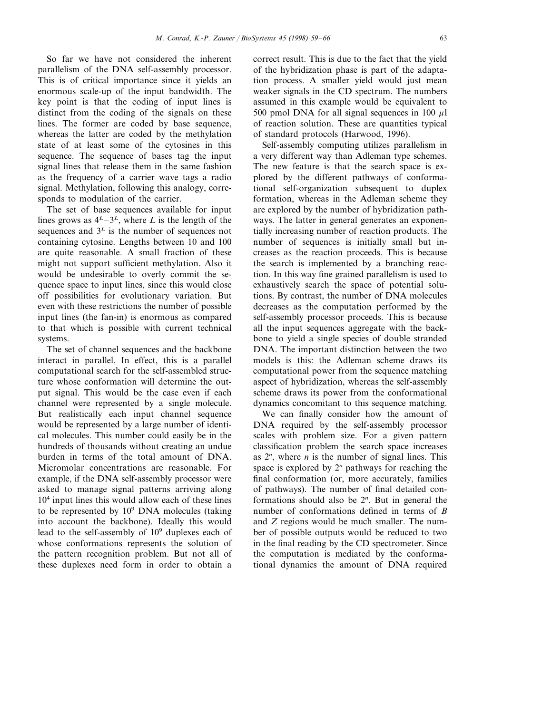So far we have not considered the inherent parallelism of the DNA self-assembly processor. This is of critical importance since it yields an enormous scale-up of the input bandwidth. The key point is that the coding of input lines is distinct from the coding of the signals on these lines. The former are coded by base sequence, whereas the latter are coded by the methylation state of at least some of the cytosines in this sequence. The sequence of bases tag the input signal lines that release them in the same fashion as the frequency of a carrier wave tags a radio signal. Methylation, following this analogy, corresponds to modulation of the carrier.

The set of base sequences available for input lines grows as  $4^L-3^L$ , where *L* is the length of the sequences and  $3<sup>L</sup>$  is the number of sequences not containing cytosine. Lengths between 10 and 100 are quite reasonable. A small fraction of these might not support sufficient methylation. Also it would be undesirable to overly commit the sequence space to input lines, since this would close off possibilities for evolutionary variation. But even with these restrictions the number of possible input lines (the fan-in) is enormous as compared to that which is possible with current technical systems.

The set of channel sequences and the backbone interact in parallel. In effect, this is a parallel computational search for the self-assembled structure whose conformation will determine the output signal. This would be the case even if each channel were represented by a single molecule. But realistically each input channel sequence would be represented by a large number of identical molecules. This number could easily be in the hundreds of thousands without creating an undue burden in terms of the total amount of DNA. Micromolar concentrations are reasonable. For example, if the DNA self-assembly processor were asked to manage signal patterns arriving along  $10<sup>4</sup>$  input lines this would allow each of these lines to be represented by  $10^9$  DNA molecules (taking into account the backbone). Ideally this would lead to the self-assembly of  $10<sup>9</sup>$  duplexes each of whose conformations represents the solution of the pattern recognition problem. But not all of these duplexes need form in order to obtain a

correct result. This is due to the fact that the yield of the hybridization phase is part of the adaptation process. A smaller yield would just mean weaker signals in the CD spectrum. The numbers assumed in this example would be equivalent to 500 pmol DNA for all signal sequences in 100  $\mu$ l of reaction solution. These are quantities typical of standard protocols (Harwood, 1996).

Self-assembly computing utilizes parallelism in a very different way than Adleman type schemes. The new feature is that the search space is explored by the different pathways of conformational self-organization subsequent to duplex formation, whereas in the Adleman scheme they are explored by the number of hybridization pathways. The latter in general generates an exponentially increasing number of reaction products. The number of sequences is initially small but increases as the reaction proceeds. This is because the search is implemented by a branching reaction. In this way fine grained parallelism is used to exhaustively search the space of potential solutions. By contrast, the number of DNA molecules decreases as the computation performed by the self-assembly processor proceeds. This is because all the input sequences aggregate with the backbone to yield a single species of double stranded DNA. The important distinction between the two models is this: the Adleman scheme draws its computational power from the sequence matching aspect of hybridization, whereas the self-assembly scheme draws its power from the conformational dynamics concomitant to this sequence matching.

We can finally consider how the amount of DNA required by the self-assembly processor scales with problem size. For a given pattern classification problem the search space increases as  $2^n$ , where *n* is the number of signal lines. This space is explored by 2*<sup>n</sup>* pathways for reaching the final conformation (or, more accurately, families of pathways). The number of final detailed conformations should also be 2*<sup>n</sup>* . But in general the number of conformations defined in terms of *B* and *Z* regions would be much smaller. The number of possible outputs would be reduced to two in the final reading by the CD spectrometer. Since the computation is mediated by the conformational dynamics the amount of DNA required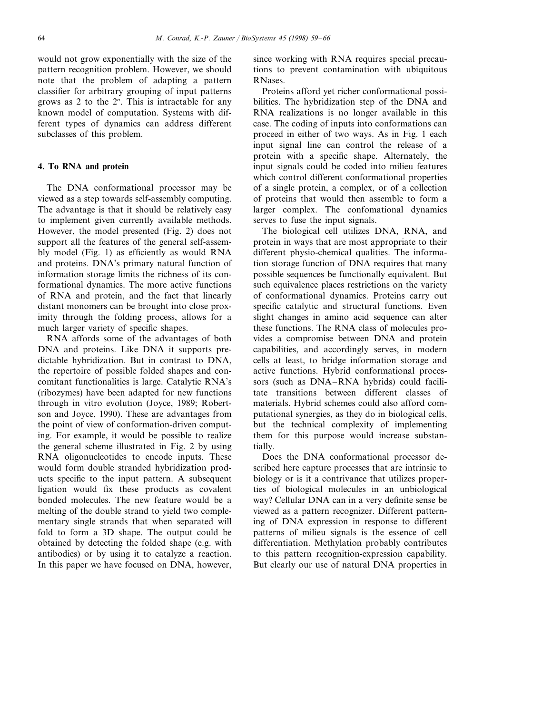would not grow exponentially with the size of the pattern recognition problem. However, we should note that the problem of adapting a pattern classifier for arbitrary grouping of input patterns grows as 2 to the 2*<sup>n</sup>* . This is intractable for any known model of computation. Systems with different types of dynamics can address different subclasses of this problem.

# **4. To RNA and protein**

The DNA conformational processor may be viewed as a step towards self-assembly computing. The advantage is that it should be relatively easy to implement given currently available methods. However, the model presented (Fig. 2) does not support all the features of the general self-assembly model (Fig. 1) as efficiently as would RNA and proteins. DNA's primary natural function of information storage limits the richness of its conformational dynamics. The more active functions of RNA and protein, and the fact that linearly distant monomers can be brought into close proximity through the folding process, allows for a much larger variety of specific shapes.

RNA affords some of the advantages of both DNA and proteins. Like DNA it supports predictable hybridization. But in contrast to DNA, the repertoire of possible folded shapes and concomitant functionalities is large. Catalytic RNA's (ribozymes) have been adapted for new functions through in vitro evolution (Joyce, 1989; Robertson and Joyce, 1990). These are advantages from the point of view of conformation-driven computing. For example, it would be possible to realize the general scheme illustrated in Fig. 2 by using RNA oligonucleotides to encode inputs. These would form double stranded hybridization products specific to the input pattern. A subsequent ligation would fix these products as covalent bonded molecules. The new feature would be a melting of the double strand to yield two complementary single strands that when separated will fold to form a 3D shape. The output could be obtained by detecting the folded shape (e.g. with antibodies) or by using it to catalyze a reaction. In this paper we have focused on DNA, however, since working with RNA requires special precautions to prevent contamination with ubiquitous RNases.

Proteins afford yet richer conformational possibilities. The hybridization step of the DNA and RNA realizations is no longer available in this case. The coding of inputs into conformations can proceed in either of two ways. As in Fig. 1 each input signal line can control the release of a protein with a specific shape. Alternately, the input signals could be coded into milieu features which control different conformational properties of a single protein, a complex, or of a collection of proteins that would then assemble to form a larger complex. The confomational dynamics serves to fuse the input signals.

The biological cell utilizes DNA, RNA, and protein in ways that are most appropriate to their different physio-chemical qualities. The information storage function of DNA requires that many possible sequences be functionally equivalent. But such equivalence places restrictions on the variety of conformational dynamics. Proteins carry out specific catalytic and structural functions. Even slight changes in amino acid sequence can alter these functions. The RNA class of molecules provides a compromise between DNA and protein capabilities, and accordingly serves, in modern cells at least, to bridge information storage and active functions. Hybrid conformational processors (such as DNA–RNA hybrids) could facilitate transitions between different classes of materials. Hybrid schemes could also afford computational synergies, as they do in biological cells, but the technical complexity of implementing them for this purpose would increase substantially.

Does the DNA conformational processor described here capture processes that are intrinsic to biology or is it a contrivance that utilizes properties of biological molecules in an unbiological way? Cellular DNA can in a very definite sense be viewed as a pattern recognizer. Different patterning of DNA expression in response to different patterns of milieu signals is the essence of cell differentiation. Methylation probably contributes to this pattern recognition-expression capability. But clearly our use of natural DNA properties in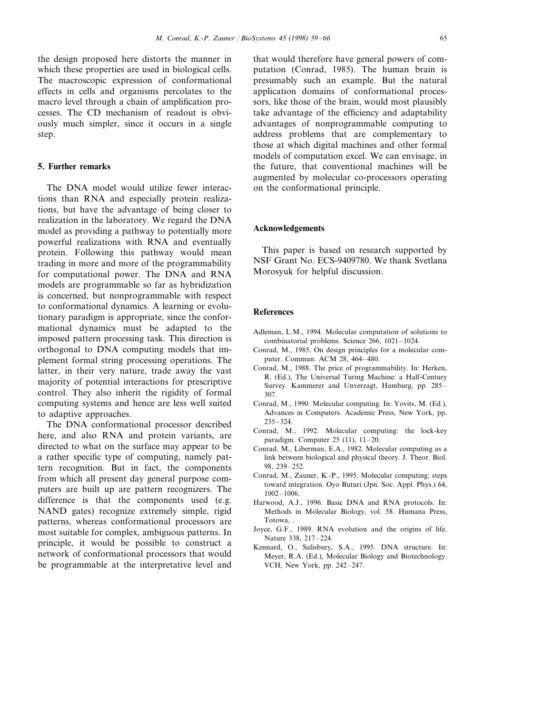the design proposed here distorts the manner in which these properties are used in biological cells. The macroscopic expression of conformational effects in cells and organisms percolates to the macro level through a chain of amplification processes. The CD mechanism of readout is obviously much simpler, since it occurs in a single step.

# **5. Further remarks**

The DNA model would utilize fewer interactions than RNA and especially protein realizations, but have the advantage of being closer to realization in the laboratory. We regard the DNA model as providing a pathway to potentially more powerful realizations with RNA and eventually protein. Following this pathway would mean trading in more and more of the programmability for computational power. The DNA and RNA models are programmable so far as hybridization is concerned, but nonprogrammable with respect to conformational dynamics. A learning or evolutionary paradigm is appropriate, since the conformational dynamics must be adapted to the imposed pattern processing task. This direction is orthogonal to DNA computing models that implement formal string processing operations. The latter, in their very nature, trade away the vast majority of potential interactions for prescriptive control. They also inherit the rigidity of formal computing systems and hence are less well suited to adaptive approaches.

The DNA conformational processor described here, and also RNA and protein variants, are directed to what on the surface may appear to be a rather specific type of computing, namely pattern recognition. But in fact, the components from which all present day general purpose computers are built up are pattern recognizers. The difference is that the components used (e.g. NAND gates) recognize extremely simple, rigid patterns, whereas conformational processors are most suitable for complex, ambiguous patterns. In principle, it would be possible to construct a network of conformational processors that would be programmable at the interpretative level and that would therefore have general powers of computation (Conrad, 1985). The human brain is presumably such an example. But the natural application domains of conformational processors, like those of the brain, would most plausibly take advantage of the efficiency and adaptability advantages of nonprogrammable computing to address problems that are complementary to those at which digital machines and other formal models of computation excel. We can envisage, in the future, that conventional machines will be augmented by molecular co-processors operating on the conformational principle.

#### **Acknowledgements**

This paper is based on research supported by NSF Grant No. ECS-9409780. We thank Svetlana Morosyuk for helpful discussion.

#### **References**

- Adleman, L.M., 1994. Molecular computation of solutions to combinatorial problems. Science 266, 1021–1024.
- Conrad, M., 1985. On design principles for a molecular computer. Commun. ACM 28, 464–480.
- Conrad, M., 1988. The price of programmability. In: Herken, R. (Ed.), The Universal Turing Machine: a Half-Century Survey. Kammerer and Unverzagt, Hamburg, pp. 285– 307.
- Conrad, M., 1990. Molecular computing. In: Yovits, M. (Ed.), Advances in Computers. Academic Press, New York, pp. 235–324.
- Conrad, M., 1992. Molecular computing: the lock-key paradigm. Computer 25 (11), 11–20.
- Conrad, M., Liberman, E.A., 1982. Molecular computing as a link between biological and physical theory. J. Theor. Biol. 98, 239–252.
- Conrad, M., Zauner, K.-P., 1995. Molecular computing: steps toward integration. Oyo Buturi (Jpn. Soc. Appl. Phys.) 64, 1002–1006.
- Harwood, A.J., 1996. Basic DNA and RNA protocols. In: Methods in Molecular Biology, vol. 58. Humana Press, Totowa, .
- Joyce, G.F., 1989. RNA evolution and the origins of life. Nature 338, 217–224.
- Kennard, O., Salisbury, S.A., 1995. DNA structure. In: Meyer, R.A. (Ed.), Molecular Biology and Biotechnology. VCH, New York, pp. 242–247.